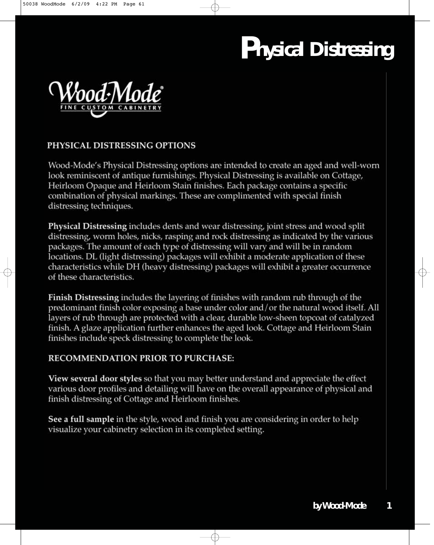

#### PHYSICAL DISTRESSING OPTIONS

Wood-Mode's Physical Distressing options are intended to create an aged and well-worn look reminiscent of antique furnishings. Physical Distressing is available on Cottage, Heirloom Opaque and Heirloom Stain finishes. Each package contains a specific combination of physical markings. These are complimented with special finish distressing techniques.

**Physical Distressing includes dents and wear distressing, joint stress and wood split** distressing, worm holes, nicks, rasping and rock distressing as indicated by the various packages. The amount of each type of distressing will vary and will be in random locations. DL (light distressing) packages will exhibit a moderate application of these characteristics while DH (heavy distressing) packages will exhibit a greater occurrence of these characteristics.

**Finish Distressing** includes the layering of finishes with random rub through of the predominant finish color exposing a base under color and/or the natural wood itself. All layers of rub through are protected with a clear, durable low-sheen topcoat of catalyzed finish. A glaze application further enhances the aged look. Cottage and Heirloom Stain finishes include speck distressing to complete the look.

#### **RECOMMENDATION PRIOR TO PURCHASE:**

**View several door styles** so that you may better understand and appreciate the effect various door profiles and detailing will have on the overall appearance of physical and finish distressing of Cottage and Heirloom finishes.

See a full sample in the style, wood and finish you are considering in order to help visualize your cabinetry selection in its completed setting.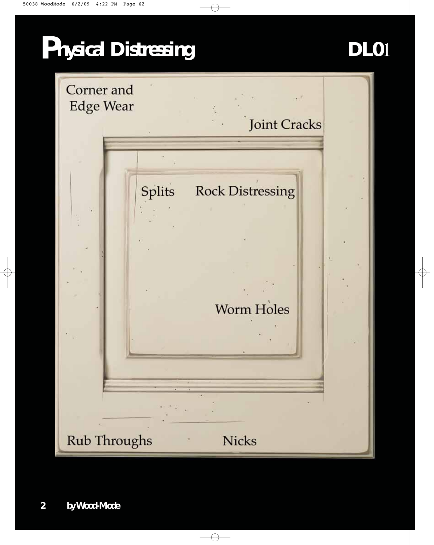

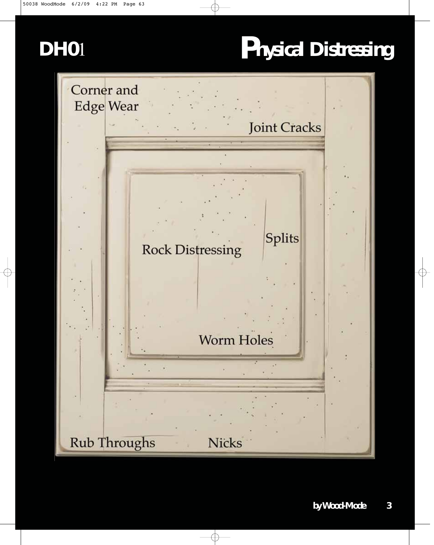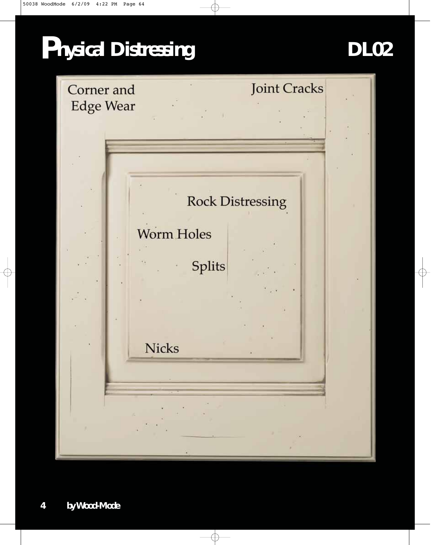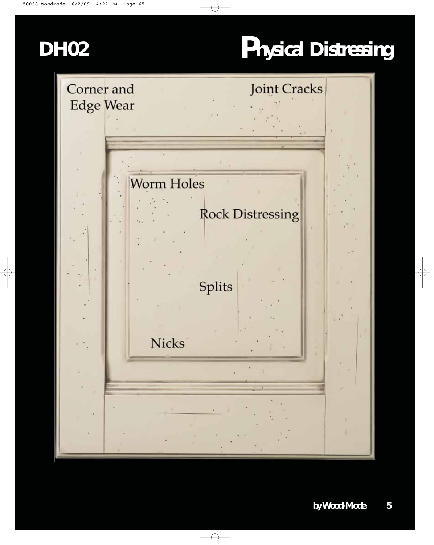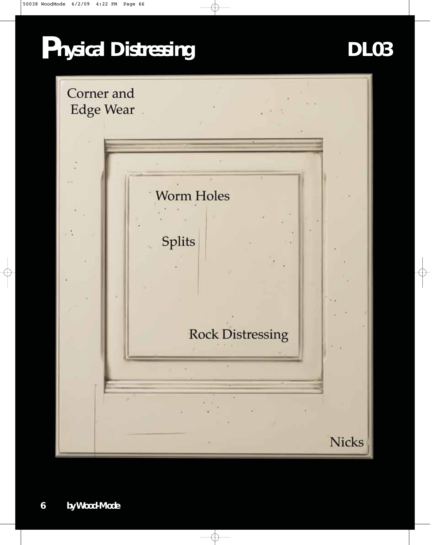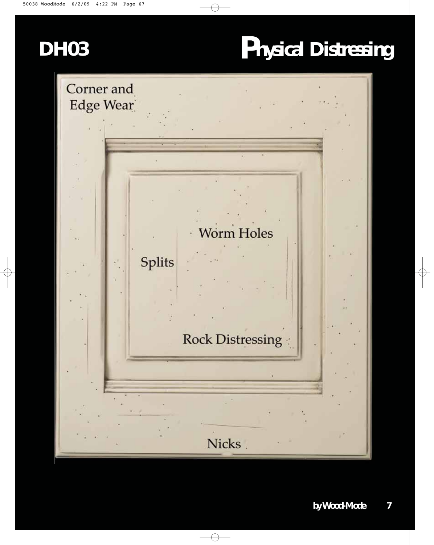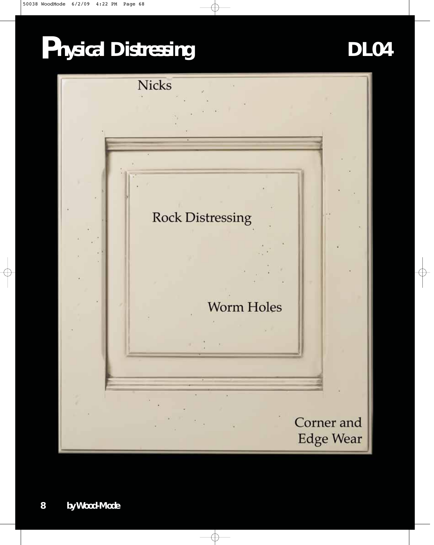

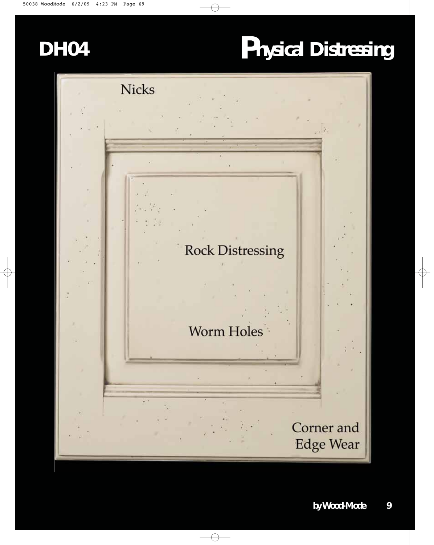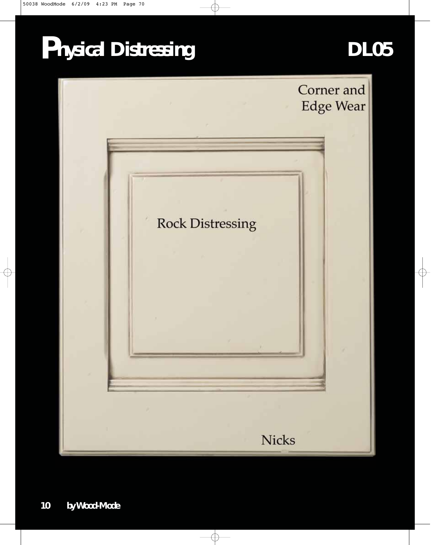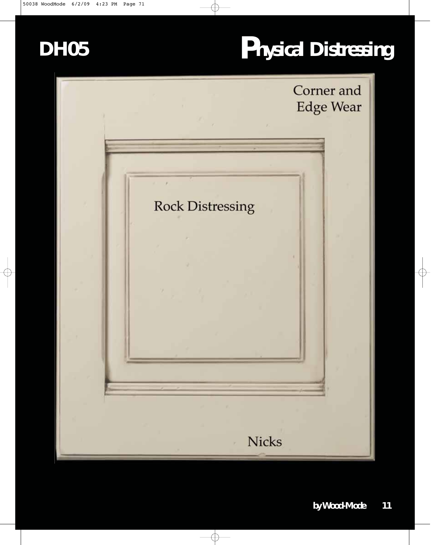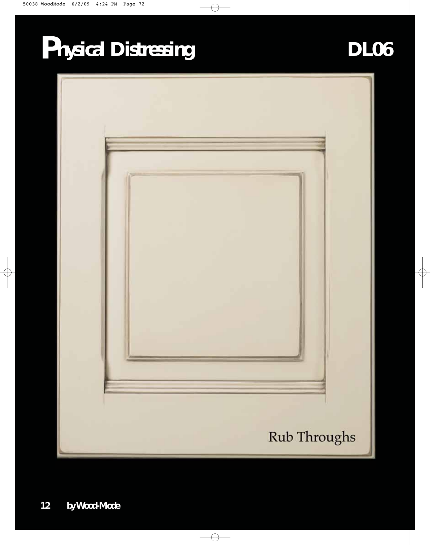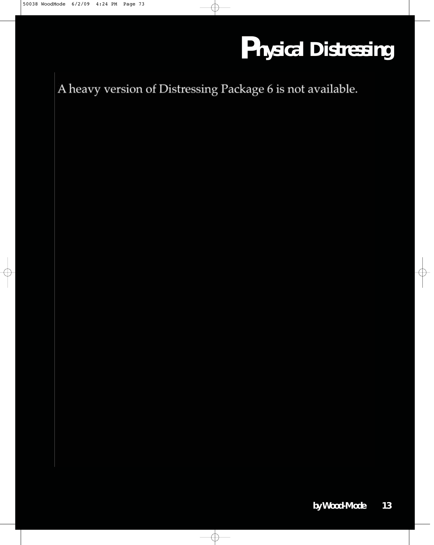A heavy version of Distressing Package 6 is not available.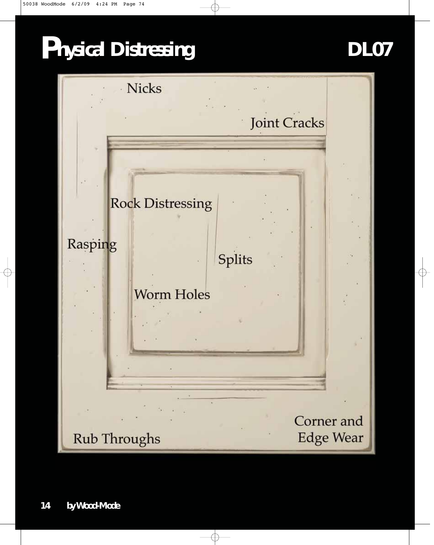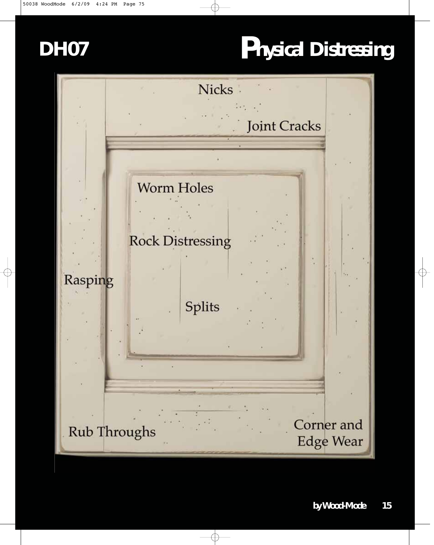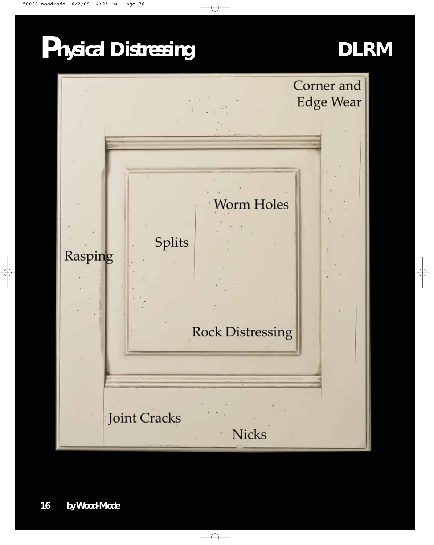### **DLRM**

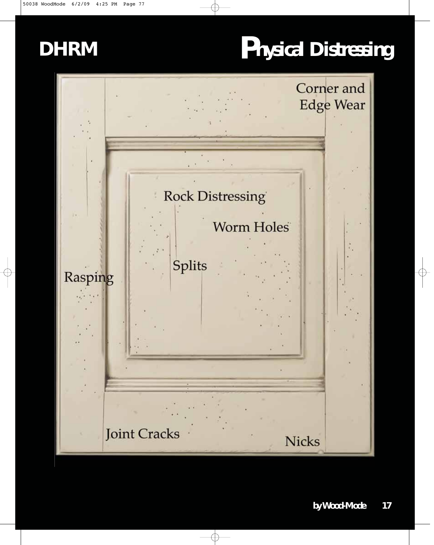#### **DHRM**

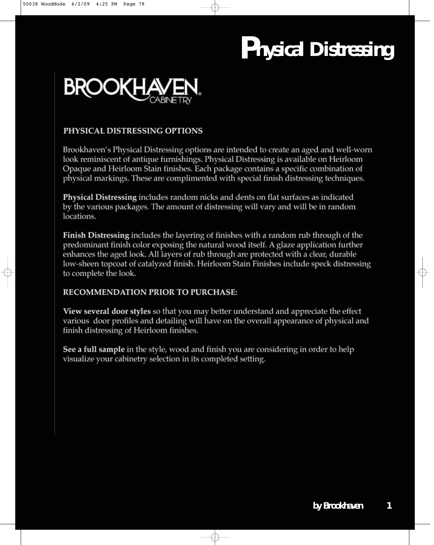

#### PHYSICAL DISTRESSING OPTIONS

Brookhaven's Physical Distressing options are intended to create an aged and well-worn look reminiscent of antique furnishings. Physical Distressing is available on Heirloom Opaque and Heirloom Stain finishes. Each package contains a specific combination of physical markings. These are complimented with special finish distressing techniques.

**Physical Distressing includes random nicks and dents on flat surfaces as indicated** by the various packages. The amount of distressing will vary and will be in random locations.

Finish Distressing includes the layering of finishes with a random rub through of the predominant finish color exposing the natural wood itself. A glaze application further enhances the aged look. All layers of rub through are protected with a clear, durable low-sheen topcoat of catalyzed finish. Heirloom Stain Finishes include speck distressing to complete the look.

#### **RECOMMENDATION PRIOR TO PURCHASE:**

**View several door styles** so that you may better understand and appreciate the effect various door profiles and detailing will have on the overall appearance of physical and finish distressing of Heirloom finishes.

See a full sample in the style, wood and finish you are considering in order to help visualize your cabinetry selection in its completed setting.